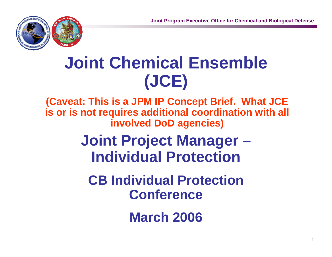1



# **Joint Chemical Ensemble (JCE)**

**(Caveat: This is a JPM IP Concept Brief. What JCE is or is not requires additional coordination with all involved DoD agencies)**

## **Joint Project Manager – Individual Protection**

**CB Individual Protection Conference**

**March 2006**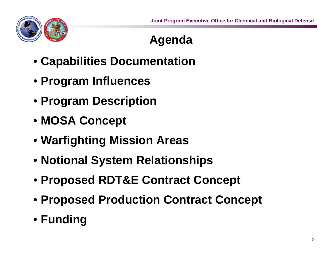

## **Agenda**

- **Capabilities Documentation**
- **Program Influences**
- **Program Description**
- **MOSA Concept**
- **Warfighting Mission Areas**
- **Notional System Relationships**
- **Proposed RDT&E Contract Concept**
- **Proposed Production Contract Concept**
- **Funding**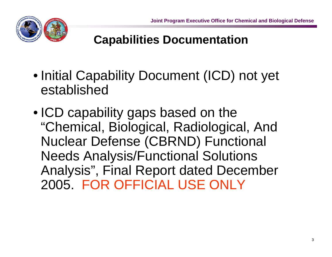

#### **Capabilities Documentation**

- Initial Capability Document (ICD) not yet established
- ICD capability gaps based on the "Chemical, Biological, Radiological, And Nuclear Defense (CBRND) Functional Needs Analysis/Functional Solutions Analysis", Final Report dated December 2005. FOR OFFICIAL USE ONLY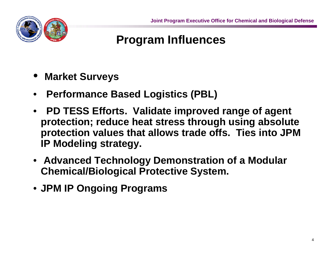

### **Program Influences**

- •**Market Surveys**
- •**Performance Based Logistics (PBL)**
- **PD TESS Efforts. Validate improved range of agent protection; reduce heat stress through using absolute protection values that allows trade offs. Ties into JPM IP Modeling strategy.**
- **Advanced Technology Demonstration of a Modular Chemical/Biological Protective System.**
- **JPM IP Ongoing Programs**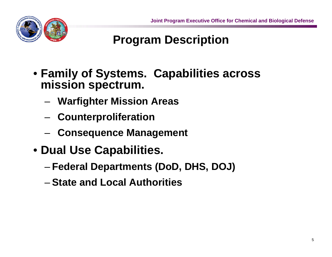

## **Program Description**

- **Family of Systems. Capabilities across mission spectrum.**
	- –**Warfighter Mission Areas**
	- –**Counterproliferation**
	- –**Consequence Management**
- **Dual Use Capabilities.** 
	- –**Federal Departments (DoD, DHS, DOJ)**
	- **State and Local Authorities**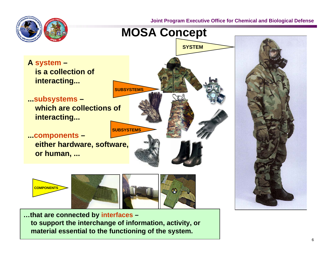**Joint Program Executive Office for Chemical and Biological Defense**





**SYSTEM**

**A system – is a collection of interacting...**

**...subsystems – which are collections of interacting...**

**...components – either hardware, software, or human, ...**



**SUBSYSTEMS**

**SUBSYSTEMS**

**…that are connected by interfaces – to support the interchange of information, activity, or material essential to the functioning of the system.**

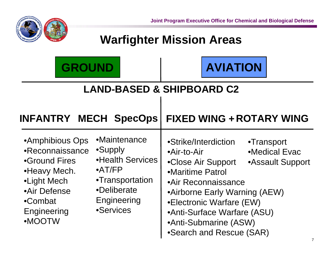

#### **Warfighter Mission Areas**

| <b>GROUND</b>                                                                                                                          |                                                                                                                              |                                 | <b>AVIATION</b>                                                                                                                                                                                                    |                                                 |  |  |  |
|----------------------------------------------------------------------------------------------------------------------------------------|------------------------------------------------------------------------------------------------------------------------------|---------------------------------|--------------------------------------------------------------------------------------------------------------------------------------------------------------------------------------------------------------------|-------------------------------------------------|--|--|--|
| <b>LAND-BASED &amp; SHIPBOARD C2</b>                                                                                                   |                                                                                                                              |                                 |                                                                                                                                                                                                                    |                                                 |  |  |  |
| <b>INFANTRY MECH SpecOps</b>                                                                                                           |                                                                                                                              |                                 | <b>FIXED WING + ROTARY WING</b>                                                                                                                                                                                    |                                                 |  |  |  |
| •Amphibious Ops<br>•Reconnaissance<br>•Ground Fires<br>•Heavy Mech.<br>•Light Mech<br>•Air Defense<br>•Combat<br>Engineering<br>•MOOTW | •Maintenance<br>•Supply<br>•Health Services<br>$\bullet$ AT/FP<br>•Transportation<br>•Deliberate<br>Engineering<br>•Services | •Air-to-Air<br>•Maritime Patrol | •Strike/Interdiction<br>•Close Air Support<br>•Air Reconnaissance<br>•Airborne Early Warning (AEW)<br>•Electronic Warfare (EW)<br>•Anti-Surface Warfare (ASU)<br>•Anti-Submarine (ASW)<br>•Search and Rescue (SAR) | •Transport<br>•Medical Evac<br>•Assault Support |  |  |  |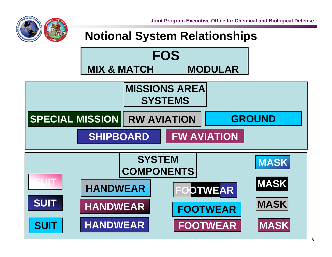**Joint Program Executive Office for Chemical and Biological Defense**



#### **Notional System Relationships**

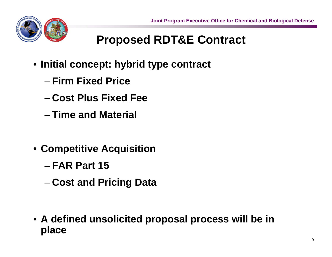

## **Proposed RDT&E Contract**

- **Initial concept: hybrid type contract** 
	- **Firm Fixed Price**
	- **Cost Plus Fixed Fee**
	- **Time and Material**
- **Competitive Acquisition**
	- **FAR Part 15**
	- –**Cost and Pricing Data**

• **A defined unsolicited proposal process will be in place**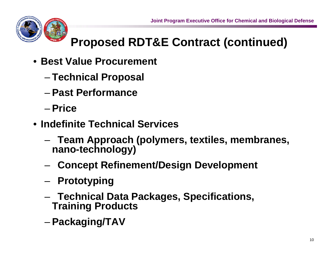

## **Proposed RDT&E Contract (continued)**

- **Best Value Procurement**
	- –**Technical Proposal**
	- **Past Performance**
	- **Price**
- **Indefinite Technical Services**
	- – **Team Approach (polymers, textiles, membranes, nano-technology)**
	- –**Concept Refinement/Design Development**
	- –**Prototyping**
	- – **Technical Data Packages, Specifications, Training Products**
	- –**Packaging/TAV**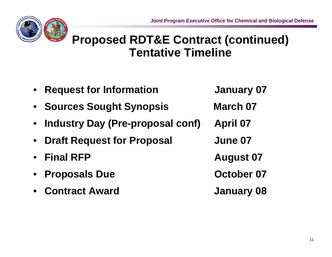

#### **Proposed RDT&E Contract (continued) Tentative Timeline**

• **Request for Information January 07** • **Sources Sought Synopsis March 07** • **Industry Day (Pre-proposal conf) April 07** • **Draft Request for Proposal June 07** • **Final RFP August 07** •**Proposals Due October 07** • **Contract AwardJanuary 08**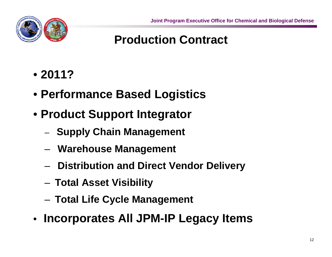

#### **Production Contract**

- **2011?**
- **Performance Based Logistics**
- **Product Support Integrator**
	- –**Supply Chain Management**
	- –**Warehouse Management**
	- –**Distribution and Direct Vendor Delivery**
	- –**Total Asset Visibility**
	- –**Total Life Cycle Management**
- **Incorporates All JPM-IP Legacy Items**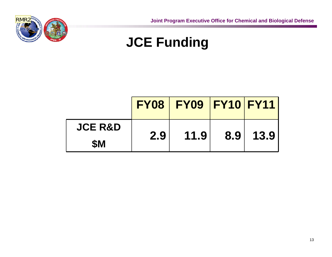

## **JCE Funding**

|                    |     | <b>FY08   FY09   FY10   FY11  </b> |                  |      |
|--------------------|-----|------------------------------------|------------------|------|
| <b>JCE R&amp;D</b> | 2.9 | 11.9                               | 8.9 <sub>1</sub> | 13.9 |
| <b>SM</b>          |     |                                    |                  |      |